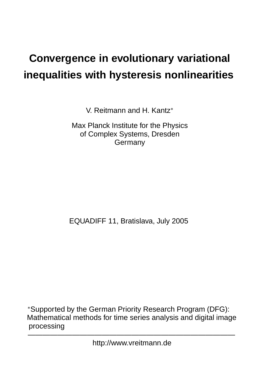# **Convergence in evolutionary variational inequalities with hysteresis nonlinearities**

V. Reitmann and H. Kantz

Max Planck Institute for the Physics of Complex Systems, Dresden Germany

EQUADIFF 11, Bratislava, July 2005

 Supported by the German Priority Research Program (DFG): Mathematical methods for time series analysis and digital image processing

——————————————————————————— http://www.vreitmann.de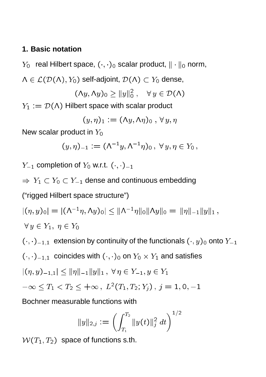### **1. Basic notation**

 $Y_0$  real Hilbert space,  $(\cdot, \cdot)_0$  scalar product,  $\|\cdot\|_0$  norm,

 $\Lambda \in \mathcal{L}(\mathcal{D}(\Lambda), Y_0)$  self-adjoint,  $\mathcal{D}(\Lambda) \subset Y_0$  dense,

$$
(\Lambda y, \Lambda y)_0 \ge ||y||_0^2, \quad \forall y \in \mathcal{D}(\Lambda)
$$

 $Y_1 := \mathcal{D}(\Lambda)$  Hilbert space with scalar product

$$
(y,\eta)_1:=(\Lambda y,\Lambda\eta)_0\;,\,\forall\,y,\eta
$$

New scalar product in  $Y_0$ 

$$
(y,\eta)_{-1} := (\Lambda^{-1}y, \Lambda^{-1}\eta)_0, \ \forall y, \eta \in Y_0,
$$

 $Y_{-1}$  completion of  $Y_0$  w.r.t.  $(\cdot, \cdot)_{-1}$ 

 $\Rightarrow Y_1 \subset Y_0 \subset Y_{-1}$  dense and continuous embedding

("rigged Hilbert space structure")

$$
|(\eta, y)_0| = |(\Lambda^{-1}\eta, \Lambda y)_0| \le ||\Lambda^{-1}\eta||_0 ||\Lambda y||_0 = ||\eta||_{-1} ||y||_1,
$$
  

$$
\forall y \in Y_1, \ \eta \in Y_0
$$

 $(\cdot, \cdot)_{-1,1}$  extension by continuity of the functionals  $(\cdot, y)_0$  onto  $Y_{-1}$ 

 $(\cdot, \cdot)_{-1,1}$  coincides with  $(\cdot, \cdot)_0$  on  $Y_0 \times Y_1$  and satisfies

$$
|(\eta, y)_{-1,1}| \le ||\eta||_{-1}||y||_1, \ \forall \, \eta \in Y_{-1}, y \in Y_1
$$

$$
-\infty \leq T_1 < T_2 \leq +\infty \,, \ L^2(T_1, T_2; Y_j) \,, \, j = 1, 0, -1
$$

Bochner measurable functions with

$$
\|y\|_{2,j}:=\left(\int_{T_1}^{T_2}\|y(t)\|_j^2\ dt\right)^{1/2}
$$

 $W(T_1, T_2)$  space of functions s.th.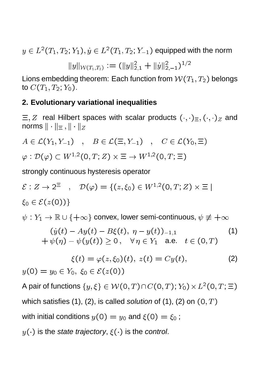$y\in L^2(T_1,T_2;Y_1), \dot y\in L^2(T_1,T_2;Y_{-1})$  equipped with the norm

 $||y||_{\mathcal{W}(T_1,T_2)} := (||y||_{2,1} + ||y||_{2,-1})^{-1}$ 

Lions embedding theorem: Each function from  $W(T_1, T_2)$  belongs to  $C(T_1, T_2; Y_0)$ .

#### **2. Evolutionary variational inequalities**

 $\Xi, Z$  real Hilbert spaces with scalar products  $(\cdot, \cdot)_{\Xi}, (\cdot, \cdot)_{Z}$  and norms  $\|\cdot\|_{\Xi}$ ,  $\|\cdot\|_{Z}$ 

$$
A \in \mathcal{L}(Y_1, Y_{-1}) \quad , \quad B \in \mathcal{L}(\Xi, Y_{-1}) \quad , \quad C \in \mathcal{L}(Y_0, \Xi)
$$
  

$$
\varphi : \mathcal{D}(\varphi) \subset W^{1,2}(0, T; Z) \times \Xi \to W^{1,2}(0, T; \Xi)
$$

strongly continuous hysteresis operator

 $\mathcal{E}: Z \to 2^- \quad , \quad \mathcal{D}(\varphi) = \{(z,\xi_0) \in W^{1,2}(0,T;Z) \times \Xi\,|\,$  $\xi_0 \in \mathcal{E}(z(0))$ 

 $\psi: Y_1 \to \mathbb{R} \cup \{+\infty\}$  convex, lower semi-continuous,  $\psi \not\equiv +\infty$ 

$$
(y(t) - Ay(t) - B\xi(t), \eta - y(t))_{-1,1}
$$
  
+  $\psi(\eta) - \psi(y(t)) \ge 0, \quad \forall \eta \in Y_1 \text{ a.e. } t \in (0, T)$  (1)

$$
\xi(t) = \varphi(z, \xi_0)(t), \ z(t) = Cy(t), \tag{2}
$$

 $y(0) = y_0 \in Y_0, \xi_0 \in \mathcal{E}(z(0))$ 

A pair of functions  $\{y, \xi\} \in \mathcal{W}(0,T) \cap C(0,T)$ ;  $Y_0) \times L^2(0,T; \Xi)$ which satisfies (1), (2), is called solution of (1), (2) on  $(0, T)$ with initial conditions  $y(0) = y_0$  and  $\xi(0) = \xi_0$ ;

 $y(\cdot)$  is the state trajectory,  $\xi(\cdot)$  is the control.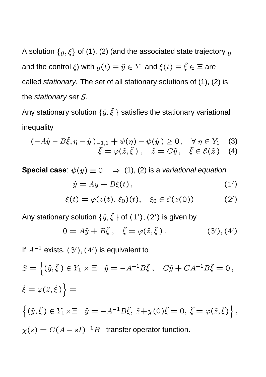A solution  $\{y, \xi\}$  of (1), (2) (and the associated state trajectory y and the control  $\xi$ ) with  $y(t) \equiv \hat{y} \in Y_1$  and  $\xi(t) \equiv \hat{\xi} \in \Xi$  are called stationary. The set of all stationary solutions of (1), (2) is the stationary set S.

Any stationary solution  $\{\hat{y}, \hat{\xi}\}$  satisfies the stationary variational inequality

$$
(-A\hat{y} - B\hat{\xi}, \eta - \hat{y})_{-1,1} + \psi(\eta) - \psi(\hat{y}) \ge 0, \quad \forall \eta \in Y_1 \quad (3)
$$

$$
\hat{\xi} = \varphi(\hat{z}, \hat{\xi}), \quad \hat{z} = C\hat{y}, \quad \hat{\xi} \in \mathcal{E}(\hat{z}) \quad (4)
$$

**Special case**:  $\psi(y) \equiv 0 \Rightarrow (1)$ , (2) is a variational equation  $\dot{y} = Ay + B\xi(t)$ ,  $(1')$  $\xi(t) = \varphi(z(t), \xi_0)(t), \quad \xi_0 \in \mathcal{E}(z(0))$  $(2')$ 

Any stationary solution  $\{\widehat{y}, \widehat{\xi}\}$  of  $(1'), (2')$  is given by

$$
0 = A\hat{y} + B\hat{\xi} , \quad \hat{\xi} = \varphi(\hat{z}, \hat{\xi}) . \tag{3', (4')}
$$

If  $A^{-1}$  exists,  $(3'), (4')$  is equivalent to

$$
S = \left\{ (\hat{y}, \hat{\xi}) \in Y_1 \times \Xi \middle| \hat{y} = -A^{-1}B\hat{\xi}, \quad C\hat{y} + CA^{-1}B\hat{\xi} = 0,
$$
  

$$
\hat{\xi} = \varphi(\hat{z}, \hat{\xi}) \right\} =
$$
  

$$
\left\{ (\hat{y}, \hat{\xi}) \in Y_1 \times \Xi \middle| \hat{y} = -A^{-1}B\hat{\xi}, \hat{z} + \chi(0)\hat{\xi} = 0, \hat{\xi} = \varphi(\hat{z}, \hat{\xi}) \right\},
$$
  

$$
\chi(s) = C(A - sI)^{-1}B \text{ transfer operator function.}
$$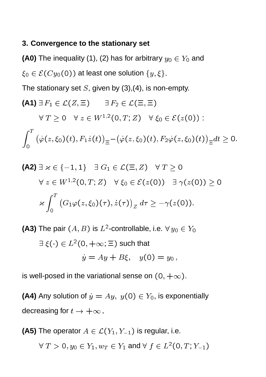#### **3. Convergence to the stationary set**

**(A0)** The inequality (1), (2) has for arbitrary  $y_0 \in Y_0$  and  $\xi_0 \in \mathcal{E}(Cy_0(0))$  at least one solution  $\{y,\xi\}.$ 

The stationary set  $S$ , given by (3),(4), is non-empty.

(A1) 
$$
\exists F_1 \in \mathcal{L}(Z, \Xi)
$$
  $\exists F_2 \in \mathcal{L}(\Xi, \Xi)$ 

\n $\forall T \geq 0$   $\forall z \in W^{1,2}(0, T; Z)$   $\forall \xi_0 \in \mathcal{E}(z(0))$ :

\n
$$
\int_0^T \left( \dot{\varphi}(z, \xi_0)(t), F_1 \dot{z}(t) \right)_{\Xi} - \left( \dot{\varphi}(z, \xi_0)(t), F_2 \dot{\varphi}(z, \xi_0)(t) \right)_{\Xi} dt \geq 0.
$$

\n(A2)  $\exists \, z \in \{-1, 1\}$   $\exists \, G_1 \in \mathcal{L}(\Xi, Z)$   $\forall T \geq 0$ 

\n $\forall \, z \in W^{1,2}(0, T; Z)$   $\forall \, \xi_0 \in \mathcal{E}(z(0))$   $\exists \, \gamma(z(0)) \geq 0$ 

$$
\varkappa \int_0^T \big( G_1 \varphi(z,\xi_0)(\tau), \dot{z}(\tau) \big)_Z d\tau \geq -\gamma(z(0)).
$$

**(A3)** The pair  $(A, B)$  is  $L^2$ -controllable, i.e.  $\forall\,y_0\in Y_0$ 

$$
\exists \xi(\cdot) \in L^2(0, +\infty; \Xi) \text{ such that}
$$
  

$$
\dot{y} = Ay + B\xi, \quad y(0) = y_0,
$$

is well-posed in the variational sense on  $(0, +\infty)$ .

**(A4)** Any solution of  $y = Ay$ ,  $y(0) \in Y_0$ , is exponentially decreasing for  $t \to +\infty$ .

(A5) The operator 
$$
A \in \mathcal{L}(Y_1, Y_{-1})
$$
 is regular, i.e.  
\n $\forall T > 0, y_0 \in Y_1, w_T \in Y_1$  and  $\forall f \in L^2(0, T; Y_{-1})$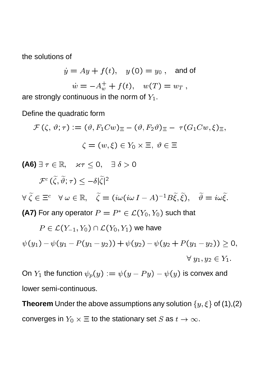the solutions of

$$
\dot{y} = Ay + f(t), \quad y(0) = y_0, \text{ and of}
$$
\n  
\n $\dot{w} = -A_w^+ + f(t), \quad w(T) = w_T,$ 

are strongly continuous in the norm of  $Y_1$ .

Define the quadratic form

$$
\mathcal{F}(\zeta, \vartheta; \tau) := (\vartheta, F_1 C w) \equiv -(\vartheta, F_2 \vartheta) \equiv -\tau (G_1 C w, \xi) \equiv,
$$
  

$$
\zeta = (w, \xi) \in Y_0 \times \Xi, \ \vartheta \in \Xi
$$

**(A6)**  $\exists \tau \in \mathbb{R}, \quad \varkappa \tau \leq 0, \quad \exists \delta > 0$ 

$$
\mathcal{F}^c(\widetilde{\zeta}, \widetilde{\vartheta}; \tau) \le -\delta |\widetilde{\zeta}|^2
$$
  
\n
$$
\forall \ \widetilde{\zeta} \in \Xi^c \quad \forall \ \omega \in \mathbb{R}, \quad \widetilde{\zeta} = (i\omega(i\omega I - A)^{-1}B\widetilde{\xi}, \widetilde{\xi}), \quad \widetilde{\vartheta} = i\omega \widetilde{\xi}.
$$
  
\n(A7) For any operator  $P = P^* \in \mathcal{L}(Y_0, Y_0)$  such that

$$
P \in \mathcal{L}(Y_{-1}, Y_0) \cap \mathcal{L}(Y_0, Y_1) \text{ we have}
$$
  

$$
\psi(y_1) - \psi(y_1 - P(y_1 - y_2)) + \psi(y_2) - \psi(y_2 + P(y_1 - y_2)) \ge 0,
$$
  

$$
\forall y_1, y_2 \in Y_1.
$$

On  $Y_1$  the function  $\psi_p(y) := \psi(y - Py) - \psi(y)$  is convex and lower semi-continuous.

**Theorem** Under the above assumptions any solution  $\{y, \xi\}$  of (1),(2) converges in  $Y_0\times \boldsymbol{\Xi}$  to the stationary set  $S$  as  $t\to \infty.$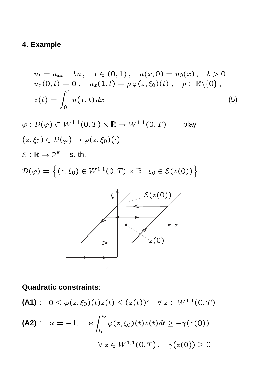# **4. Example**

$$
u_t = u_{xx} - bu, \quad x \in (0,1), \quad u(x,0) = u_0(x), \quad b > 0
$$
  

$$
u_x(0,t) = 0, \quad u_x(1,t) = \rho \varphi(z,\xi_0)(t), \quad \rho \in \mathbb{R} \setminus \{0\},
$$
  

$$
z(t) = \int_0^1 u(x,t) dx
$$
 (5)

$$
\varphi : \mathcal{D}(\varphi) \subset W^{1,1}(0,T) \times \mathbb{R} \to W^{1,1}(0,T) \quad \text{play}
$$
  
\n
$$
(z,\xi_0) \in \mathcal{D}(\varphi) \mapsto \varphi(z,\xi_0)(\cdot)
$$
  
\n
$$
\mathcal{E} : \mathbb{R} \to 2^{\mathbb{R}} \quad \text{s. th.}
$$
  
\n
$$
\mathcal{D}(\varphi) = \left\{ (z,\xi_0) \in W^{1,1}(0,T) \times \mathbb{R} \, \Big| \, \xi_0 \in \mathcal{E}(z(0)) \right\}
$$



## **Quadratic constraints**:

(A1): 
$$
0 \leq \dot{\varphi}(z,\xi_0)(t)\dot{z}(t) \leq (\dot{z}(t))^2 \quad \forall \ z \in W^{1,1}(0,T)
$$

\n(A2):  $\varkappa = -1, \quad \varkappa \int_{t_1}^{t_2} \varphi(z,\xi_0)(t)\dot{z}(t)dt \geq -\gamma(z(0))$ 

\n $\forall \ z \in W^{1,1}(0,T), \quad \gamma(z(0)) \geq 0$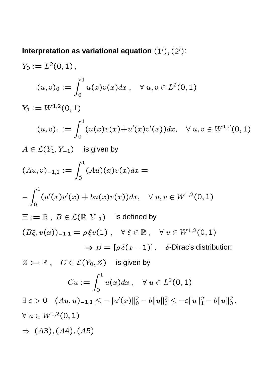Interpretation as variational equation  $(1'), (2')$ :

$$
Y_0 := L^2(0, 1),
$$
  
\n
$$
(u, v)_0 := \int_0^1 u(x)v(x)dx, \quad \forall u, v \in L^2(0, 1)
$$
  
\n
$$
Y_1 := W^{1,2}(0, 1)
$$
  
\n
$$
(u, v)_1 := \int_0^1 (u(x)v(x) + u'(x)v'(x))dx, \quad \forall u, v \in W^{1,2}(0, 1)
$$
  
\n
$$
A \in \mathcal{L}(Y_1, Y_{-1}) \text{ is given by}
$$
  
\n
$$
(Au, v)_{-1,1} := \int_0^1 (Au)(x)v(x)dx =
$$
  
\n
$$
-\int_0^1 (u'(x)v'(x) + bu(x)v(x))dx, \quad \forall u, v \in W^{1,2}(0, 1)
$$
  
\n
$$
\equiv := \mathbb{R}, B \in \mathcal{L}(\mathbb{R}, Y_{-1}) \text{ is defined by}
$$
  
\n
$$
(B\xi, v(x))_{-1,1} = \rho \xi v(1), \quad \forall \xi \in \mathbb{R}, \quad \forall v \in W^{1,2}(0, 1)
$$
  
\n
$$
\Rightarrow B = [\rho \delta(x - 1)], \quad \delta \text{-Dirac's distribution}
$$
  
\n
$$
Z := \mathbb{R}, \quad C \in \mathcal{L}(Y_0, Z) \text{ is given by}
$$
  
\n
$$
Cu := \int_0^1 u(x)dx, \quad \forall u \in L^2(0, 1)
$$
  
\n
$$
\exists \varepsilon > 0 \quad (Au, u)_{-1,1} \le -||u'(x)||_0^2 - b||u||_0^2 \le -\varepsilon ||u||_1^2 - b||u||_0^2,
$$
  
\n
$$
\forall u \in W^{1,2}(0, 1)
$$
  
\n
$$
\Rightarrow (A3), (A4), (A5)
$$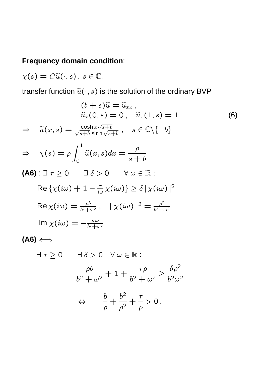### **Frequency domain condition**:

 $\chi(s) = C\widetilde{u}(\cdot, s)$ ,  $s \in \mathbb{C}$ ,

transfer function  $\widetilde{u}(\cdot, s)$  is the solution of the ordinary BVP

$$
(b + s)\tilde{u} = \tilde{u}_{xx},
$$
  
\n
$$
\tilde{u}_x(0, s) = 0, \quad \tilde{u}_x(1, s) = 1
$$
  
\n
$$
\tilde{u}(x, s) = \frac{\cosh x \sqrt{s + b}}{s}, \quad s \in \mathbb{C} \setminus \{-b\}
$$
 (6)

$$
\Rightarrow \quad \widetilde{u}(x,s) = \frac{\cos\left(\frac{x}{s+b}\right)}{\sqrt{s+b}\sinh\left(\sqrt{s+b}\right)} \,, \quad s \in \mathbb{C} \setminus \{-b\}
$$

$$
\Rightarrow \quad \chi(s) = \rho \int_0^1 \tilde{u}(x, s) dx = \frac{\rho}{s + b}
$$

(A6): 
$$
\exists \tau \geq 0
$$
  $\exists \delta > 0$   $\forall \omega \in \mathbb{R}$ :

\n
$$
\text{Re}\left\{\chi(i\omega) + 1 - \frac{\tau}{i\omega}\chi(i\omega)\right\} \geq \delta \left|\chi(i\omega)\right|^2
$$
\n
$$
\text{Re}\left\{\chi(i\omega)\right\} = \frac{\rho b}{b^2 + \omega^2}, \quad |\chi(i\omega)|^2 = \frac{\rho^2}{b^2 + \omega^2}
$$
\n
$$
\text{Im}\left\{\chi(i\omega)\right\} = -\frac{\rho \omega}{b^2 + \omega^2}
$$

$$
(A6) \Longleftrightarrow
$$

$$
\exists \tau \geq 0 \qquad \exists \delta > 0 \quad \forall \omega \in \mathbb{R}:
$$

$$
\frac{\rho b}{b^2 + \omega^2} + 1 + \frac{\tau\rho}{b^2 + \omega^2} \ge \frac{\delta\rho^2}{b^2\omega^2}
$$

$$
\Leftrightarrow \qquad \frac{b}{\rho} + \frac{b^2}{\rho^2} + \frac{\tau}{\rho} > 0 \, .
$$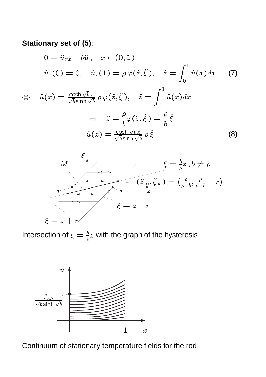### **Stationary set of (5)**:

$$
0 = \hat{u}_{xx} - b\hat{u}, \quad x \in (0, 1)
$$
  

$$
\hat{u}_x(0) = 0, \quad \hat{u}_x(1) = \rho \varphi(\hat{z}, \hat{\xi}), \quad \hat{z} = \int_0^1 \hat{u}(x) dx \qquad (7)
$$

$$
\Leftrightarrow \hat{u}(x) = \frac{\cosh\sqrt{b}x}{\sqrt{b}\sinh\sqrt{b}} \rho \varphi(\hat{z}, \hat{\xi}), \quad \hat{z} = \int_0^{\infty} \hat{u}(x) dx
$$

$$
\Leftrightarrow \quad \hat{z} = \frac{\rho}{b} \varphi(\hat{z}, \hat{\xi}) = \frac{\rho}{b} \hat{\xi}
$$

$$
\hat{u}(x) = \frac{\cosh\sqrt{b}x}{\sqrt{b}\sinh\sqrt{b}} \rho \hat{\xi}
$$
(8)



Intersection of  $\xi = \frac{b}{\rho} z$  with the graph of the hysteresis



Continuum of stationary temperature fields for the rod